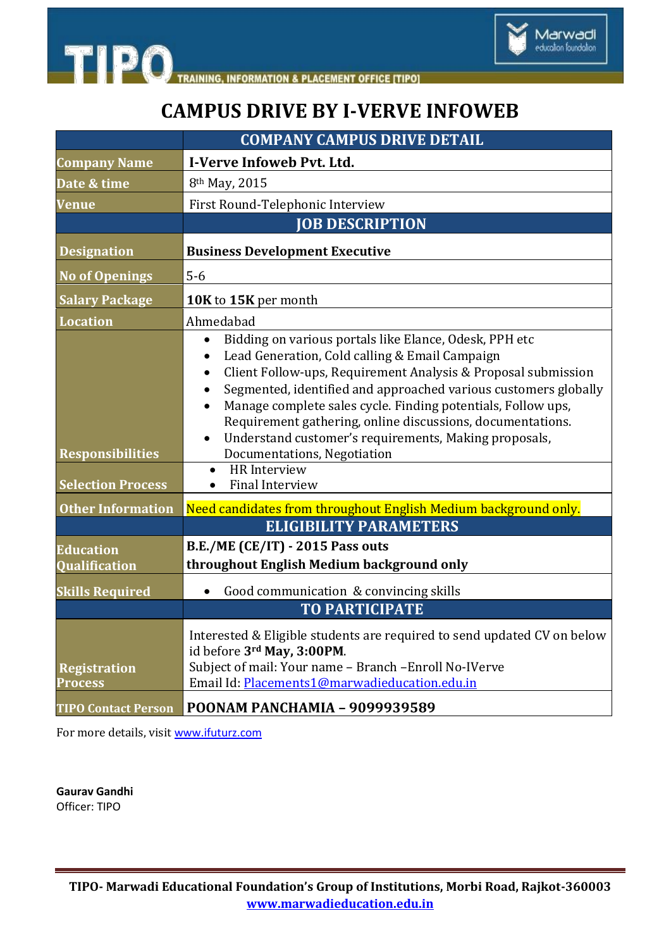



Marwadi<br>education foundation

|                                                                                 | <b>COMPANY CAMPUS DRIVE DETAIL</b>                                                                                                                                                                                                                                                                                                                                                                                                                                                                                                                                                                                                                |
|---------------------------------------------------------------------------------|---------------------------------------------------------------------------------------------------------------------------------------------------------------------------------------------------------------------------------------------------------------------------------------------------------------------------------------------------------------------------------------------------------------------------------------------------------------------------------------------------------------------------------------------------------------------------------------------------------------------------------------------------|
| <b>Company Name</b>                                                             | I-Verve Infoweb Pvt. Ltd.                                                                                                                                                                                                                                                                                                                                                                                                                                                                                                                                                                                                                         |
| Date & time                                                                     | 8 <sup>th</sup> May, 2015                                                                                                                                                                                                                                                                                                                                                                                                                                                                                                                                                                                                                         |
| <b>Venue</b>                                                                    | First Round-Telephonic Interview                                                                                                                                                                                                                                                                                                                                                                                                                                                                                                                                                                                                                  |
|                                                                                 | <b>JOB DESCRIPTION</b>                                                                                                                                                                                                                                                                                                                                                                                                                                                                                                                                                                                                                            |
| <b>Designation</b>                                                              | <b>Business Development Executive</b>                                                                                                                                                                                                                                                                                                                                                                                                                                                                                                                                                                                                             |
| <b>No of Openings</b>                                                           | $5-6$                                                                                                                                                                                                                                                                                                                                                                                                                                                                                                                                                                                                                                             |
| <b>Salary Package</b>                                                           | 10K to 15K per month                                                                                                                                                                                                                                                                                                                                                                                                                                                                                                                                                                                                                              |
| <b>Location</b>                                                                 | Ahmedabad                                                                                                                                                                                                                                                                                                                                                                                                                                                                                                                                                                                                                                         |
| <b>Responsibilities</b><br><b>Selection Process</b><br><b>Other Information</b> | Bidding on various portals like Elance, Odesk, PPH etc<br>Lead Generation, Cold calling & Email Campaign<br>Client Follow-ups, Requirement Analysis & Proposal submission<br>Segmented, identified and approached various customers globally<br>Manage complete sales cycle. Finding potentials, Follow ups,<br>Requirement gathering, online discussions, documentations.<br>Understand customer's requirements, Making proposals,<br>Documentations, Negotiation<br><b>HR</b> Interview<br>$\bullet$<br><b>Final Interview</b><br>$\bullet$<br>Need candidates from throughout English Medium background only.<br><b>ELIGIBILITY PARAMETERS</b> |
| <b>Education</b>                                                                | <b>B.E./ME (CE/IT) - 2015 Pass outs</b>                                                                                                                                                                                                                                                                                                                                                                                                                                                                                                                                                                                                           |
| <b>Qualification</b>                                                            | throughout English Medium background only                                                                                                                                                                                                                                                                                                                                                                                                                                                                                                                                                                                                         |
| <b>Skills Required</b>                                                          | Good communication & convincing skills                                                                                                                                                                                                                                                                                                                                                                                                                                                                                                                                                                                                            |
|                                                                                 | <b>TO PARTICIPATE</b>                                                                                                                                                                                                                                                                                                                                                                                                                                                                                                                                                                                                                             |
| <b>Registration</b><br>Process                                                  | Interested & Eligible students are required to send updated CV on below<br>id before 3rd May, 3:00PM.<br>Subject of mail: Your name - Branch - Enroll No-IVerve<br>Email Id: Placements1@marwadieducation.edu.in                                                                                                                                                                                                                                                                                                                                                                                                                                  |
| <b>TIPO Contact Person</b>                                                      | <b>POONAM PANCHAMIA - 9099939589</b>                                                                                                                                                                                                                                                                                                                                                                                                                                                                                                                                                                                                              |

For more details, visit [www.ifuturz.com](http://www.ifuturz.com/)

**Gaurav Gandhi**  Officer: TIPO